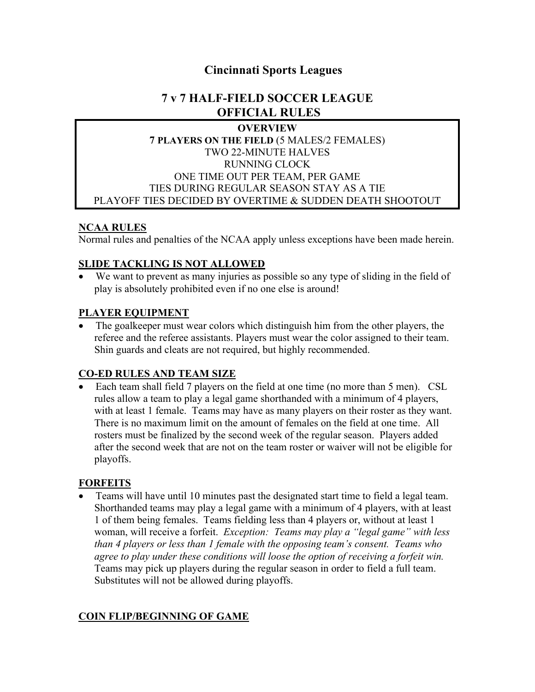# **Cincinnati Sports Leagues**

# **7 v 7 HALF-FIELD SOCCER LEAGUE OFFICIAL RULES**

#### **OVERVIEW**

#### **7 PLAYERS ON THE FIELD** (5 MALES/2 FEMALES) TWO 22-MINUTE HALVES RUNNING CLOCK ONE TIME OUT PER TEAM, PER GAME TIES DURING REGULAR SEASON STAY AS A TIE PLAYOFF TIES DECIDED BY OVERTIME & SUDDEN DEATH SHOOTOUT

#### **NCAA RULES**

Normal rules and penalties of the NCAA apply unless exceptions have been made herein.

#### **SLIDE TACKLING IS NOT ALLOWED**

• We want to prevent as many injuries as possible so any type of sliding in the field of play is absolutely prohibited even if no one else is around!

#### **PLAYER EQUIPMENT**

The goalkeeper must wear colors which distinguish him from the other players, the referee and the referee assistants. Players must wear the color assigned to their team. Shin guards and cleats are not required, but highly recommended.

#### **CO-ED RULES AND TEAM SIZE**

• Each team shall field 7 players on the field at one time (no more than 5 men). CSL rules allow a team to play a legal game shorthanded with a minimum of 4 players, with at least 1 female. Teams may have as many players on their roster as they want. There is no maximum limit on the amount of females on the field at one time. All rosters must be finalized by the second week of the regular season. Players added after the second week that are not on the team roster or waiver will not be eligible for playoffs.

# **FORFEITS**

• Teams will have until 10 minutes past the designated start time to field a legal team. Shorthanded teams may play a legal game with a minimum of 4 players, with at least 1 of them being females. Teams fielding less than 4 players or, without at least 1 woman, will receive a forfeit. *Exception: Teams may play a "legal game" with less than 4 players or less than 1 female with the opposing team's consent. Teams who agree to play under these conditions will loose the option of receiving a forfeit win.*  Teams may pick up players during the regular season in order to field a full team. Substitutes will not be allowed during playoffs.

# **COIN FLIP/BEGINNING OF GAME**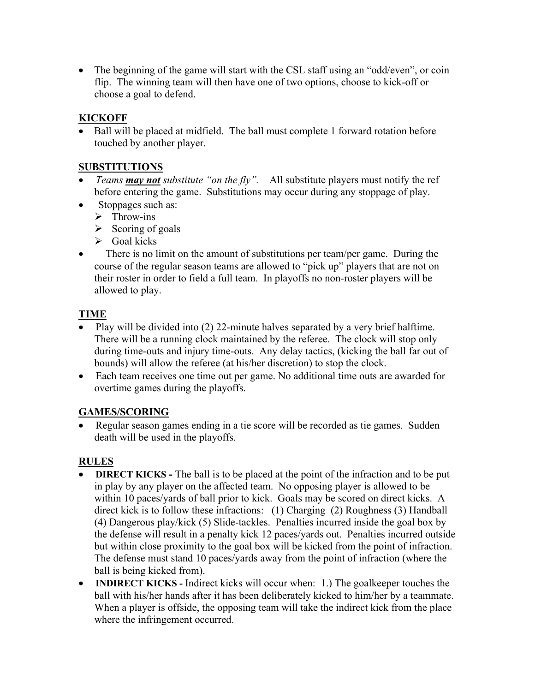• The beginning of the game will start with the CSL staff using an "odd/even", or coin flip. The winning team will then have one of two options, choose to kick-off or choose a goal to defend.

# **KICKOFF**

• Ball will be placed at midfield. The ball must complete 1 forward rotation before touched by another player.

# **SUBSTITUTIONS**

- *Teams may not substitute "on the fly".* All substitute players must notify the ref before entering the game. Substitutions may occur during any stoppage of play.
- Stoppages such as:
	- $\triangleright$  Throw-ins
	- $\triangleright$  Scoring of goals
	- $\triangleright$  Goal kicks
- There is no limit on the amount of substitutions per team/per game. During the course of the regular season teams are allowed to "pick up" players that are not on their roster in order to field a full team. In playoffs no non-roster players will be allowed to play.

# **TIME**

- Play will be divided into (2) 22-minute halves separated by a very brief halftime. There will be a running clock maintained by the referee. The clock will stop only during time-outs and injury time-outs. Any delay tactics, (kicking the ball far out of bounds) will allow the referee (at his/her discretion) to stop the clock.
- Each team receives one time out per game. No additional time outs are awarded for overtime games during the playoffs.

# **GAMES/SCORING**

• Regular season games ending in a tie score will be recorded as tie games. Sudden death will be used in the playoffs.

# **RULES**

- **DIRECT KICKS** The ball is to be placed at the point of the infraction and to be put in play by any player on the affected team. No opposing player is allowed to be within 10 paces/yards of ball prior to kick. Goals may be scored on direct kicks. A direct kick is to follow these infractions: (1) Charging (2) Roughness (3) Handball (4) Dangerous play/kick (5) Slide-tackles. Penalties incurred inside the goal box by the defense will result in a penalty kick 12 paces/yards out. Penalties incurred outside but within close proximity to the goal box will be kicked from the point of infraction. The defense must stand 10 paces/yards away from the point of infraction (where the ball is being kicked from).
- **INDIRECT KICKS -** Indirect kicks will occur when: 1.) The goalkeeper touches the ball with his/her hands after it has been deliberately kicked to him/her by a teammate. When a player is offside, the opposing team will take the indirect kick from the place where the infringement occurred.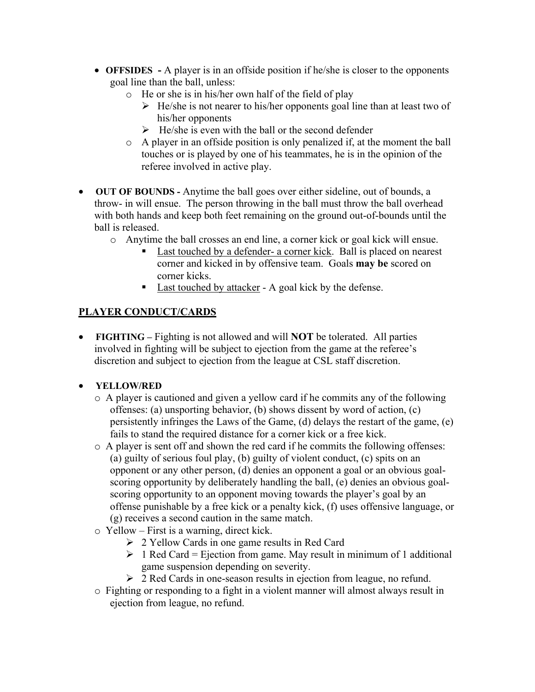- **OFFSIDES -** A player is in an offside position if he/she is closer to the opponents goal line than the ball, unless:
	- o He or she is in his/her own half of the field of play
		- $\triangleright$  He/she is not nearer to his/her opponents goal line than at least two of his/her opponents
		- $\triangleright$  He/she is even with the ball or the second defender
	- o A player in an offside position is only penalized if, at the moment the ball touches or is played by one of his teammates, he is in the opinion of the referee involved in active play.
- **OUT OF BOUNDS -** Anytime the ball goes over either sideline, out of bounds, a throw- in will ensue. The person throwing in the ball must throw the ball overhead with both hands and keep both feet remaining on the ground out-of-bounds until the ball is released.
	- o Anytime the ball crosses an end line, a corner kick or goal kick will ensue.
		- Last touched by a defender- a corner kick. Ball is placed on nearest corner and kicked in by offensive team. Goals **may be** scored on corner kicks.
		- Last touched by attacker A goal kick by the defense.

# **PLAYER CONDUCT/CARDS**

• **FIGHTING –** Fighting is not allowed and will **NOT** be tolerated. All parties involved in fighting will be subject to ejection from the game at the referee's discretion and subject to ejection from the league at CSL staff discretion.

# • **YELLOW/RED**

- o A player is cautioned and given a yellow card if he commits any of the following offenses: (a) unsporting behavior, (b) shows dissent by word of action, (c) persistently infringes the Laws of the Game, (d) delays the restart of the game, (e) fails to stand the required distance for a corner kick or a free kick.
- o A player is sent off and shown the red card if he commits the following offenses: (a) guilty of serious foul play, (b) guilty of violent conduct, (c) spits on an opponent or any other person, (d) denies an opponent a goal or an obvious goalscoring opportunity by deliberately handling the ball, (e) denies an obvious goalscoring opportunity to an opponent moving towards the player's goal by an offense punishable by a free kick or a penalty kick, (f) uses offensive language, or (g) receives a second caution in the same match.
- o Yellow First is a warning, direct kick.
	- Ø 2 Yellow Cards in one game results in Red Card
	- $\triangleright$  1 Red Card = Ejection from game. May result in minimum of 1 additional game suspension depending on severity.
	- Ø 2 Red Cards in one-season results in ejection from league, no refund.
- o Fighting or responding to a fight in a violent manner will almost always result in ejection from league, no refund.